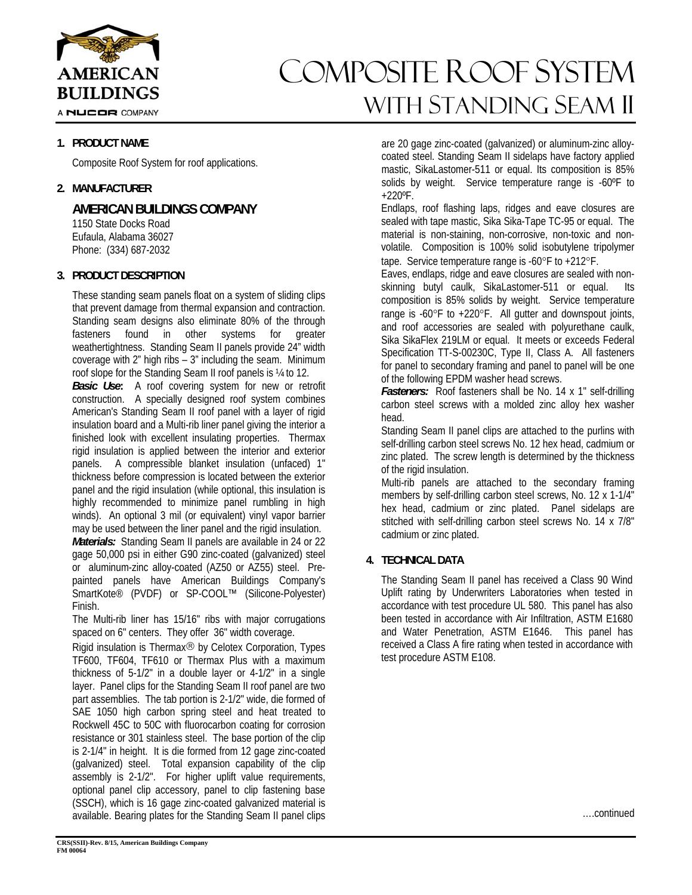

A NUCOR COMPANY

# **1. PRODUCT NAME**

Composite Roof System for roof applications.

## **2. MANUFACTURER**

**AMERICAN BUILDINGS COMPANY** 

 1150 State Docks Road Eufaula, Alabama 36027 Phone: (334) 687-2032

# **3. PRODUCT DESCRIPTION**

These standing seam panels float on a system of sliding clips that prevent damage from thermal expansion and contraction. Standing seam designs also eliminate 80% of the through fasteners found in other systems for greater weathertightness. Standing Seam II panels provide 24" width coverage with 2" high ribs – 3" including the seam. Minimum roof slope for the Standing Seam II roof panels is ¼ to 12.

*Basic Use***:** A roof covering system for new or retrofit construction. A specially designed roof system combines American's Standing Seam II roof panel with a layer of rigid insulation board and a Multi-rib liner panel giving the interior a finished look with excellent insulating properties. Thermax rigid insulation is applied between the interior and exterior panels. A compressible blanket insulation (unfaced) 1" thickness before compression is located between the exterior panel and the rigid insulation (while optional, this insulation is highly recommended to minimize panel rumbling in high winds). An optional 3 mil (or equivalent) vinyl vapor barrier may be used between the liner panel and the rigid insulation.

*Materials:* Standing Seam II panels are available in 24 or 22 gage 50,000 psi in either G90 zinc-coated (galvanized) steel or aluminum-zinc alloy-coated (AZ50 or AZ55) steel. Prepainted panels have American Buildings Company's SmartKote® (PVDF) or SP-COOL™ (Silicone-Polyester) Finish.

The Multi-rib liner has 15/16" ribs with major corrugations spaced on 6" centers. They offer 36" width coverage.

Rigid insulation is Thermax<sup>®</sup> by Celotex Corporation, Types TF600, TF604, TF610 or Thermax Plus with a maximum thickness of 5-1/2" in a double layer or 4-1/2" in a single layer. Panel clips for the Standing Seam II roof panel are two part assemblies. The tab portion is 2-1/2" wide, die formed of SAE 1050 high carbon spring steel and heat treated to Rockwell 45C to 50C with fluorocarbon coating for corrosion resistance or 301 stainless steel. The base portion of the clip is 2-1/4" in height. It is die formed from 12 gage zinc-coated (galvanized) steel. Total expansion capability of the clip assembly is 2-1/2". For higher uplift value requirements, optional panel clip accessory, panel to clip fastening base (SSCH), which is 16 gage zinc-coated galvanized material is available. Bearing plates for the Standing Seam II panel clips

# composite roof system with Standing seam ii

are 20 gage zinc-coated (galvanized) or aluminum-zinc alloycoated steel. Standing Seam II sidelaps have factory applied mastic, SikaLastomer-511 or equal. Its composition is 85% solids by weight. Service temperature range is -60ºF to +220ºF.

Endlaps, roof flashing laps, ridges and eave closures are sealed with tape mastic, Sika Sika-Tape TC-95 or equal. The material is non-staining, non-corrosive, non-toxic and nonvolatile. Composition is 100% solid isobutylene tripolymer tape. Service temperature range is -60 $\degree$ F to +212 $\degree$ F.

Eaves, endlaps, ridge and eave closures are sealed with nonskinning butyl caulk, SikaLastomer-511 or equal. Its composition is 85% solids by weight. Service temperature range is  $-60^{\circ}$ F to  $+220^{\circ}$ F. All gutter and downspout joints, and roof accessories are sealed with polyurethane caulk, Sika SikaFlex 219LM or equal. It meets or exceeds Federal Specification TT-S-00230C, Type II, Class A. All fasteners for panel to secondary framing and panel to panel will be one of the following EPDM washer head screws.

Fasteners: Roof fasteners shall be No. 14 x 1" self-drilling carbon steel screws with a molded zinc alloy hex washer head.

Standing Seam II panel clips are attached to the purlins with self-drilling carbon steel screws No. 12 hex head, cadmium or zinc plated. The screw length is determined by the thickness of the rigid insulation.

Multi-rib panels are attached to the secondary framing members by self-drilling carbon steel screws, No. 12 x 1-1/4" hex head, cadmium or zinc plated. Panel sidelaps are stitched with self-drilling carbon steel screws No. 14 x 7/8" cadmium or zinc plated.

# **4. TECHNICAL DATA**

The Standing Seam II panel has received a Class 90 Wind Uplift rating by Underwriters Laboratories when tested in accordance with test procedure UL 580. This panel has also been tested in accordance with Air Infiltration, ASTM E1680 and Water Penetration, ASTM E1646. This panel has received a Class A fire rating when tested in accordance with test procedure ASTM E108.

….continued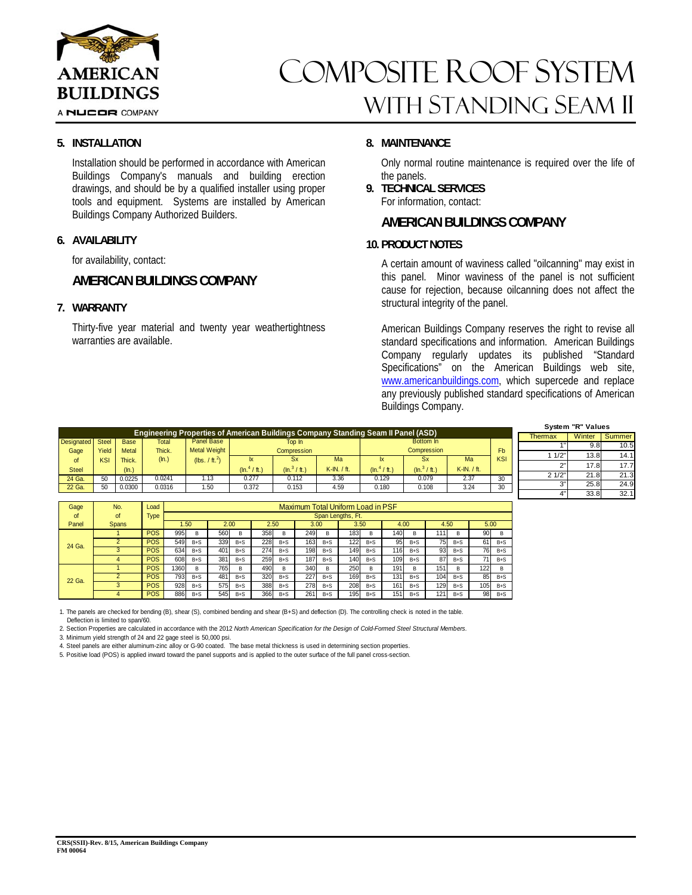

# composite roof system with Standing seam ii

### **5. INSTALLATION**

Installation should be performed in accordance with American Buildings Company's manuals and building erection drawings, and should be by a qualified installer using proper tools and equipment. Systems are installed by American Buildings Company Authorized Builders.

### **6. AVAILABILITY**

for availability, contact:

# **AMERICAN BUILDINGS COMPANY**

### **7. WARRANTY**

Thirty-five year material and twenty year weathertightness warranties are available.

### **8. MAINTENANCE**

Only normal routine maintenance is required over the life of the panels.

**9. TECHNICAL SERVICES**  For information, contact:

# **AMERICAN BUILDINGS COMPANY**

### **10. PRODUCT NOTES**

A certain amount of waviness called "oilcanning" may exist in this panel. Minor waviness of the panel is not sufficient cause for rejection, because oilcanning does not affect the structural integrity of the panel.

American Buildings Company reserves the right to revise all standard specifications and information. American Buildings Company regularly updates its published "Standard Specifications" on the American Buildings web site, www.americanbuildings.com, which supercede and replace any previously published standard specifications of American Buildings Company.

|                                                                                   |            |              |        |                            |                  |                        |                  |                         |                        |                  |            |        | System "R" Values |      |  |  |  |
|-----------------------------------------------------------------------------------|------------|--------------|--------|----------------------------|------------------|------------------------|------------------|-------------------------|------------------------|------------------|------------|--------|-------------------|------|--|--|--|
| Engineering Properties of American Buildings Company Standing Seam II Panel (ASD) |            |              |        |                            |                  |                        |                  |                         |                        |                  | Thermax    | Winter | Summer            |      |  |  |  |
| Designated Steel                                                                  |            | <b>Base</b>  | Total  | Panel Base                 |                  | Top In                 |                  |                         | Bottom In              |                  |            |        | 9.8               | 10.5 |  |  |  |
| Gage                                                                              | Yield      | <b>Metal</b> | Thick. | Metal Weight               |                  | <b>Compression</b>     |                  |                         | Compression            |                  | Fb         | 1/2    | 13.8              | 14.1 |  |  |  |
| ot                                                                                | <b>KSI</b> | Thick.       | (ln.)  | (lbs. / ft. <sup>2</sup> ) | Ix               | <b>Sx</b>              | Ma               | lx.                     | <b>Sx</b>              | Ма               | <b>KSI</b> |        |                   |      |  |  |  |
| <b>Steel</b>                                                                      |            | (ln.)        |        |                            | (In. $^4$ / ft.) | $(\ln^3 / \text{ft.})$ | $K$ -IN. $/$ ft. | $(\ln ^{4}/\text{ft.})$ | $(\ln^3 / \text{ft.})$ | $K$ -IN. $/$ ft. |            |        | 17.8              | 17.7 |  |  |  |
|                                                                                   |            |              | 0.0241 |                            | 0.277            |                        | 3.36             | 0.129                   | 0.079                  | 2.37             |            | 21/2"  | 21.8              | 21.3 |  |  |  |
| 24 Ga.                                                                            | 50         | 0.0225       |        | .13                        |                  | 0.112                  |                  |                         |                        |                  | 30         |        | 25.8              | 24.9 |  |  |  |
| 22 Ga.                                                                            | 50         | 0.0300       | 0.0316 | 1.50                       | 0.372            | 0.153                  | 4.59             | 0.180                   | 0.108                  | 3.24             | 30         |        |                   |      |  |  |  |
|                                                                                   |            |              |        |                            |                  |                        |                  |                         |                        |                  |            |        | 33.8              | 32.1 |  |  |  |

| Gage   | No.          | Load        | Maximum Total Uniform Load in PSF |         |      |         |      |         |      |         |      |         |      |         |      |         |      |         |
|--------|--------------|-------------|-----------------------------------|---------|------|---------|------|---------|------|---------|------|---------|------|---------|------|---------|------|---------|
| of     | of           | <b>Type</b> | Span Lengths, Ft.                 |         |      |         |      |         |      |         |      |         |      |         |      |         |      |         |
| Panel  | <b>Spans</b> |             | 1.50                              |         | 2.00 |         | 2.50 |         | 3.00 |         | 3.50 |         | 4.00 |         | 4.50 |         | 5.00 |         |
| 24 Ga. |              | <b>POS</b>  | 995                               | B       | 560  | B       | 358  | B       | 249  | B       | 183  | B       | 140  | B       | 111  | B       | 90   | B       |
|        |              | <b>POS</b>  | 549                               | $B + S$ | 339  | $B+S$   | 228  | $B + S$ | 163  | $B + S$ | 122  | $B + S$ | 95   | $B + S$ | 75   | $B + S$ | 61   | $B + S$ |
|        |              | <b>POS</b>  | 634                               | $B + S$ | 401  | $B+S$   | 274  | $B + S$ | 1981 | $B + S$ | 149  | $B + S$ | 116  | $B + S$ | 93   | $B + S$ | 761  | $B + S$ |
|        |              | <b>POS</b>  | 608                               | $B + S$ | 381  | $B+S$   | 259  | $B + S$ | 187  | $B + S$ | 140  | $B + S$ | 109  | $B + S$ | 87   | $B + S$ | 711  | $B + S$ |
| 22 Ga. |              | <b>POS</b>  | 1360                              | B.      | 765  | B       | 490  | B       | 340  | B.      | 250  | B       | 191  | в       | 151  | B       | 122  | B       |
|        |              | <b>POS</b>  | 793                               | $B + S$ | 481  | $B+S$   | 320  | $B + S$ | 227  | $B + S$ | 169  | $B + S$ | 131  | $B + S$ | 104  | $B + S$ | 85   | $B + S$ |
|        |              | <b>POS</b>  | 928                               | $B + S$ | 575  | $B+S$   | 388  | $B + S$ | 278  | $B + S$ | 208  | $B + S$ | 161  | $B + S$ | 129  | $B + S$ | 105  | $B + S$ |
|        |              | <b>POS</b>  | 886                               | $B + S$ | 545  | $B + S$ | 366  | $B + S$ | 261  | $B + S$ | 195  | $B + S$ | 151  | $B + S$ | 121  | $B + S$ | 98   | $B + S$ |

1. The panels are checked for bending (B), shear (S), combined bending and shear (B+S) and deflection (D). The controlling check is noted in the table. Deflection is limited to span/60.

2. Section Properties are calculated in accordance with the 2012 *North American Specification for the Design of Cold-Formed Steel Structural Members.*

3. Minimum yield strength of 24 and 22 gage steel is 50,000 psi.

4. Steel panels are either aluminum-zinc alloy or G-90 coated. The base metal thickness is used in determining section properties.

5. Positive load (POS) is applied inward toward the panel supports and is applied to the outer surface of the full panel cross-section.